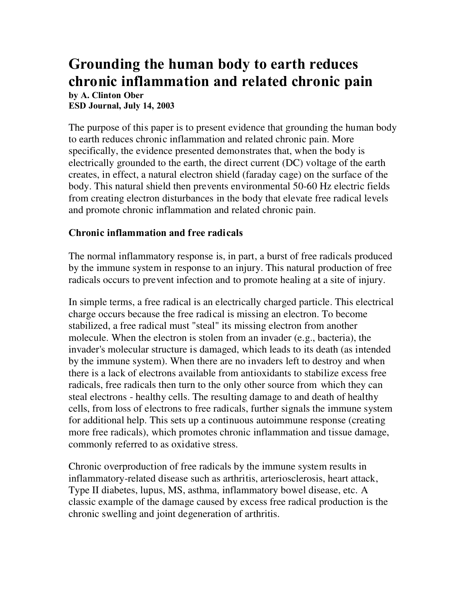# **Grounding the human body to earth reduces chronic inflammation and related chronic pain**

**by A. Clinton Ober ESD Journal, July 14, 2003** 

The purpose of this paper is to present evidence that grounding the human body to earth reduces chronic inflammation and related chronic pain. More specifically, the evidence presented demonstrates that, when the body is electrically grounded to the earth, the direct current (DC) voltage of the earth creates, in effect, a natural electron shield (faraday cage) on the surface of the body. This natural shield then prevents environmental 50-60 Hz electric fields from creating electron disturbances in the body that elevate free radical levels and promote chronic inflammation and related chronic pain.

# **Chronic inflammation and free radicals**

The normal inflammatory response is, in part, a burst of free radicals produced by the immune system in response to an injury. This natural production of free radicals occurs to prevent infection and to promote healing at a site of injury.

In simple terms, a free radical is an electrically charged particle. This electrical charge occurs because the free radical is missing an electron. To become stabilized, a free radical must "steal" its missing electron from another molecule. When the electron is stolen from an invader (e.g., bacteria), the invader's molecular structure is damaged, which leads to its death (as intended by the immune system). When there are no invaders left to destroy and when there is a lack of electrons available from antioxidants to stabilize excess free radicals, free radicals then turn to the only other source from which they can steal electrons - healthy cells. The resulting damage to and death of healthy cells, from loss of electrons to free radicals, further signals the immune system for additional help. This sets up a continuous autoimmune response (creating more free radicals), which promotes chronic inflammation and tissue damage, commonly referred to as oxidative stress.

Chronic overproduction of free radicals by the immune system results in inflammatory-related disease such as arthritis, arteriosclerosis, heart attack, Type II diabetes, lupus, MS, asthma, inflammatory bowel disease, etc. A classic example of the damage caused by excess free radical production is the chronic swelling and joint degeneration of arthritis.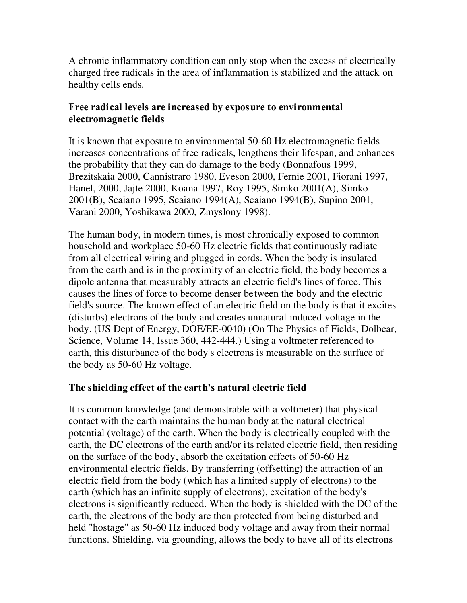A chronic inflammatory condition can only stop when the excess of electrically charged free radicals in the area of inflammation is stabilized and the attack on healthy cells ends.

# **Free radical levels are increased by exposure to environmental electromagnetic fields**

It is known that exposure to environmental 50-60 Hz electromagnetic fields increases concentrations of free radicals, lengthens their lifespan, and enhances the probability that they can do damage to the body (Bonnafous 1999, Brezitskaia 2000, Cannistraro 1980, Eveson 2000, Fernie 2001, Fiorani 1997, Hanel, 2000, Jajte 2000, Koana 1997, Roy 1995, Simko 2001(A), Simko 2001(B), Scaiano 1995, Scaiano 1994(A), Scaiano 1994(B), Supino 2001, Varani 2000, Yoshikawa 2000, Zmyslony 1998).

The human body, in modern times, is most chronically exposed to common household and workplace 50-60 Hz electric fields that continuously radiate from all electrical wiring and plugged in cords. When the body is insulated from the earth and is in the proximity of an electric field, the body becomes a dipole antenna that measurably attracts an electric field's lines of force. This causes the lines of force to become denser between the body and the electric field's source. The known effect of an electric field on the body is that it excites (disturbs) electrons of the body and creates unnatural induced voltage in the body. (US Dept of Energy, DOE/EE-0040) (On The Physics of Fields, Dolbear, Science, Volume 14, Issue 360, 442-444.) Using a voltmeter referenced to earth, this disturbance of the body's electrons is measurable on the surface of the body as 50-60 Hz voltage.

# **The shielding effect of the earth's natural electric field**

It is common knowledge (and demonstrable with a voltmeter) that physical contact with the earth maintains the human body at the natural electrical potential (voltage) of the earth. When the body is electrically coupled with the earth, the DC electrons of the earth and/or its related electric field, then residing on the surface of the body, absorb the excitation effects of 50-60 Hz environmental electric fields. By transferring (offsetting) the attraction of an electric field from the body (which has a limited supply of electrons) to the earth (which has an infinite supply of electrons), excitation of the body's electrons is significantly reduced. When the body is shielded with the DC of the earth, the electrons of the body are then protected from being disturbed and held "hostage" as 50-60 Hz induced body voltage and away from their normal functions. Shielding, via grounding, allows the body to have all of its electrons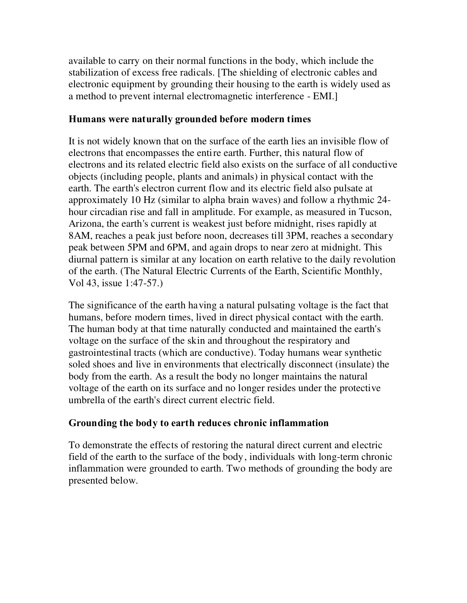available to carry on their normal functions in the body, which include the stabilization of excess free radicals. [The shielding of electronic cables and electronic equipment by grounding their housing to the earth is widely used as a method to prevent internal electromagnetic interference - EMI.]

# **Humans were naturally grounded before modern times**

It is not widely known that on the surface of the earth lies an invisible flow of electrons that encompasses the entire earth. Further, this natural flow of electrons and its related electric field also exists on the surface of all conductive objects (including people, plants and animals) in physical contact with the earth. The earth's electron current flow and its electric field also pulsate at approximately 10 Hz (similar to alpha brain waves) and follow a rhythmic 24 hour circadian rise and fall in amplitude. For example, as measured in Tucson, Arizona, the earth's current is weakest just before midnight, rises rapidly at 8AM, reaches a peak just before noon, decreases till 3PM, reaches a secondary peak between 5PM and 6PM, and again drops to near zero at midnight. This diurnal pattern is similar at any location on earth relative to the daily revolution of the earth. (The Natural Electric Currents of the Earth, Scientific Monthly, Vol 43, issue 1:47-57.)

The significance of the earth having a natural pulsating voltage is the fact that humans, before modern times, lived in direct physical contact with the earth. The human body at that time naturally conducted and maintained the earth's voltage on the surface of the skin and throughout the respiratory and gastrointestinal tracts (which are conductive). Today humans wear synthetic soled shoes and live in environments that electrically disconnect (insulate) the body from the earth. As a result the body no longer maintains the natural voltage of the earth on its surface and no longer resides under the protective umbrella of the earth's direct current electric field.

# **Grounding the body to earth reduces chronic inflammation**

To demonstrate the effects of restoring the natural direct current and electric field of the earth to the surface of the body, individuals with long-term chronic inflammation were grounded to earth. Two methods of grounding the body are presented below.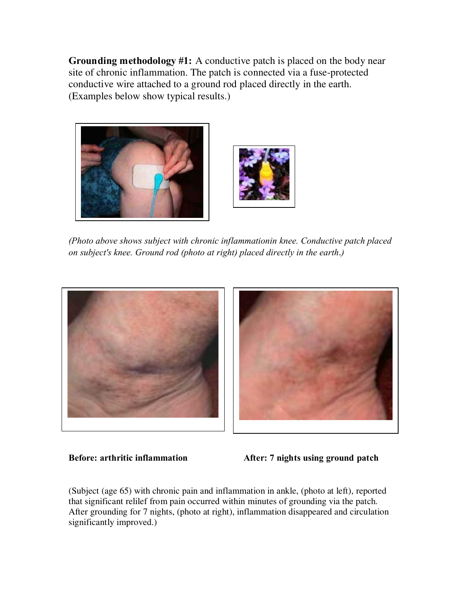**Grounding methodology #1:** A conductive patch is placed on the body near site of chronic inflammation. The patch is connected via a fuse-protected conductive wire attached to a ground rod placed directly in the earth. (Examples below show typical results.)





*(Photo above shows subject with chronic inflammationin knee. Conductive patch placed on subject's knee. Ground rod (photo at right) placed directly in the earth*.*)*





(Subject (age 65) with chronic pain and inflammation in ankle, (photo at left), reported that significant relilef from pain occurred within minutes of grounding via the patch. After grounding for 7 nights, (photo at right), inflammation disappeared and circulation significantly improved.)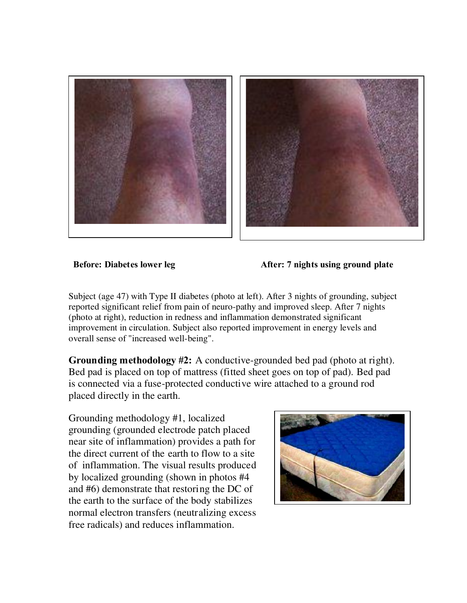



**Before: Diabetes lower leg and addensery After: 7 nights using ground plate** 

Subject (age 47) with Type II diabetes (photo at left). After 3 nights of grounding, subject reported significant relief from pain of neuro-pathy and improved sleep. After 7 nights (photo at right), reduction in redness and inflammation demonstrated significant improvement in circulation. Subject also reported improvement in energy levels and overall sense of "increased well-being".

**Grounding methodology #2:** A conductive-grounded bed pad (photo at right). Bed pad is placed on top of mattress (fitted sheet goes on top of pad). Bed pad is connected via a fuse-protected conductive wire attached to a ground rod placed directly in the earth.

Grounding methodology #1, localized grounding (grounded electrode patch placed near site of inflammation) provides a path for the direct current of the earth to flow to a site of inflammation. The visual results produced by localized grounding (shown in photos #4 and #6) demonstrate that restoring the DC of the earth to the surface of the body stabilizes normal electron transfers (neutralizing excess free radicals) and reduces inflammation.

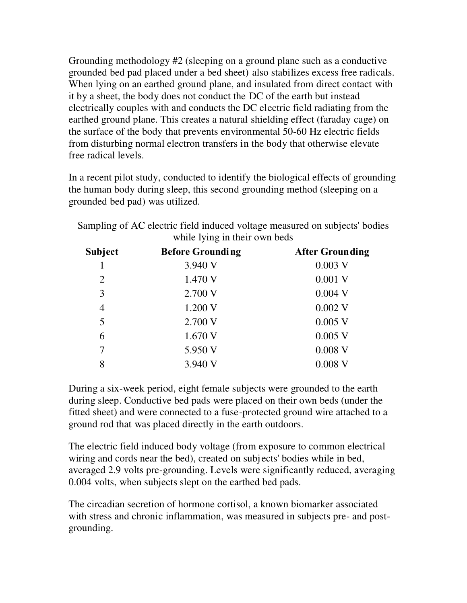Grounding methodology #2 (sleeping on a ground plane such as a conductive grounded bed pad placed under a bed sheet) also stabilizes excess free radicals. When lying on an earthed ground plane, and insulated from direct contact with it by a sheet, the body does not conduct the DC of the earth but instead electrically couples with and conducts the DC electric field radiating from the earthed ground plane. This creates a natural shielding effect (faraday cage) on the surface of the body that prevents environmental 50-60 Hz electric fields from disturbing normal electron transfers in the body that otherwise elevate free radical levels.

In a recent pilot study, conducted to identify the biological effects of grounding the human body during sleep, this second grounding method (sleeping on a grounded bed pad) was utilized.

Sampling of AC electric field induced voltage measured on subjects' bodies while lying in their own beds

| Subject        | <b>Before Grounding</b> | <b>After Grounding</b> |
|----------------|-------------------------|------------------------|
|                | 3.940 V                 | $0.003$ V              |
| $\overline{2}$ | 1.470 V                 | $0.001$ V              |
| 3              | 2.700 V                 | $0.004$ V              |
| $\overline{4}$ | 1.200 V                 | $0.002$ V              |
| 5              | 2.700 V                 | 0.005 V                |
| 6              | 1.670 V                 | 0.005 V                |
| 7              | 5.950 V                 | $0.008$ V              |
| 8              | 3.940 V                 | $0.008$ V              |

During a six-week period, eight female subjects were grounded to the earth during sleep. Conductive bed pads were placed on their own beds (under the fitted sheet) and were connected to a fuse-protected ground wire attached to a ground rod that was placed directly in the earth outdoors.

The electric field induced body voltage (from exposure to common electrical wiring and cords near the bed), created on subjects' bodies while in bed, averaged 2.9 volts pre-grounding. Levels were significantly reduced, averaging 0.004 volts, when subjects slept on the earthed bed pads.

The circadian secretion of hormone cortisol, a known biomarker associated with stress and chronic inflammation, was measured in subjects pre- and postgrounding.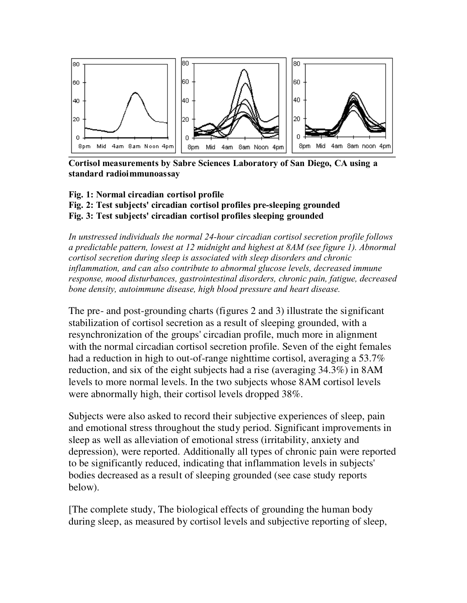

**Cortisol measurements by Sabre Sciences Laboratory of San Diego, CA using a standard radioimmunoassay**

#### **Fig. 1: Normal circadian cortisol profile Fig. 2: Test subjects' circadian cortisol profiles pre-sleeping grounded**

# **Fig. 3: Test subjects' circadian cortisol profiles sleeping grounded**

*In unstressed individuals the normal 24-hour circadian cortisol secretion profile follows a predictable pattern, lowest at 12 midnight and highest at 8AM (see figure 1). Abnormal cortisol secretion during sleep is associated with sleep disorders and chronic inflammation, and can also contribute to abnormal glucose levels, decreased immune response, mood disturbances, gastrointestinal disorders, chronic pain, fatigue, decreased bone density, autoimmune disease, high blood pressure and heart disease.*

The pre- and post-grounding charts (figures 2 and 3) illustrate the significant stabilization of cortisol secretion as a result of sleeping grounded, with a resynchronization of the groups' circadian profile, much more in alignment with the normal circadian cortisol secretion profile. Seven of the eight females had a reduction in high to out-of-range nighttime cortisol, averaging a 53.7% reduction, and six of the eight subjects had a rise (averaging 34.3%) in 8AM levels to more normal levels. In the two subjects whose 8AM cortisol levels were abnormally high, their cortisol levels dropped 38%.

Subjects were also asked to record their subjective experiences of sleep, pain and emotional stress throughout the study period. Significant improvements in sleep as well as alleviation of emotional stress (irritability, anxiety and depression), were reported. Additionally all types of chronic pain were reported to be significantly reduced, indicating that inflammation levels in subjects' bodies decreased as a result of sleeping grounded (see case study reports below).

[The complete study, The biological effects of grounding the human body during sleep, as measured by cortisol levels and subjective reporting of sleep,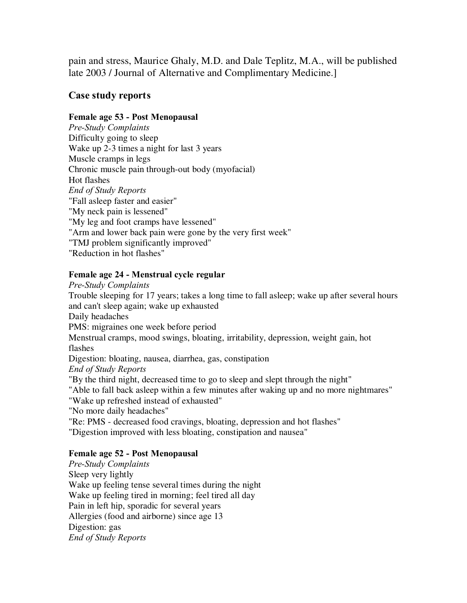pain and stress, Maurice Ghaly, M.D. and Dale Teplitz, M.A., will be published late 2003 / Journal of Alternative and Complimentary Medicine.]

## **Case study reports**

#### **Female age 53 - Post Menopausal**

*Pre-Study Complaints*  Difficulty going to sleep Wake up 2-3 times a night for last 3 years Muscle cramps in legs Chronic muscle pain through-out body (myofacial) Hot flashes *End of Study Reports*  "Fall asleep faster and easier" "My neck pain is lessened" "My leg and foot cramps have lessened" "Arm and lower back pain were gone by the very first week" "TMJ problem significantly improved" "Reduction in hot flashes"

#### **Female age 24 - Menstrual cycle regular**

*Pre-Study Complaints*  Trouble sleeping for 17 years; takes a long time to fall asleep; wake up after several hours and can't sleep again; wake up exhausted Daily headaches PMS: migraines one week before period Menstrual cramps, mood swings, bloating, irritability, depression, weight gain, hot flashes Digestion: bloating, nausea, diarrhea, gas, constipation *End of Study Reports*  "By the third night, decreased time to go to sleep and slept through the night" "Able to fall back asleep within a few minutes after waking up and no more nightmares" "Wake up refreshed instead of exhausted" "No more daily headaches" "Re: PMS - decreased food cravings, bloating, depression and hot flashes" "Digestion improved with less bloating, constipation and nausea"

### **Female age 52 - Post Menopausal**

*Pre-Study Complaints*  Sleep very lightly Wake up feeling tense several times during the night Wake up feeling tired in morning; feel tired all day Pain in left hip, sporadic for several years Allergies (food and airborne) since age 13 Digestion: gas *End of Study Reports*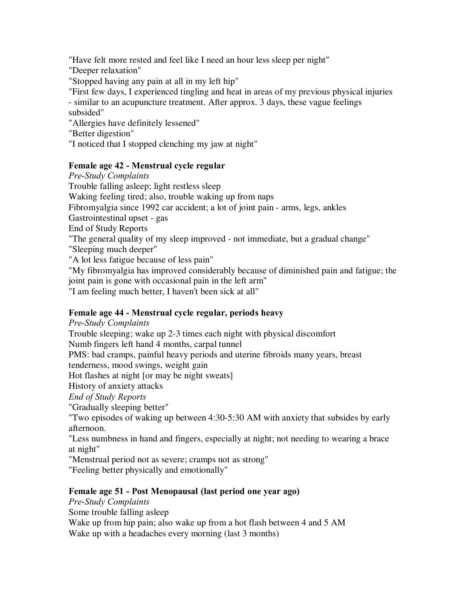"Have felt more rested and feel like I need an hour less sleep per night"

"Deeper relaxation"

"Stopped having any pain at all in my left hip"

"First few days, I experienced tingling and heat in areas of my previous physical injuries - similar to an acupuncture treatment. After approx. 3 days, these vague feelings subsided"

"Allergies have definitely lessened"

"Better digestion"

"I noticed that I stopped clenching my jaw at night"

# **Female age 42 - Menstrual cycle regular**

*Pre-Study Complaints* Trouble falling asleep; light restless sleep Waking feeling tired; also, trouble waking up from naps Fibromyalgia since 1992 car accident; a lot of joint pain - arms, legs, ankles Gastrointestinal upset - gas End of Study Reports "The general quality of my sleep improved - not immediate, but a gradual change" "Sleeping much deeper" "A lot less fatigue because of less pain" "My fibromyalgia has improved considerably because of diminished pain and fatigue; the joint pain is gone with occasional pain in the left arm" "I am feeling much better, I haven't been sick at all"

# **Female age 44 - Menstrual cycle regular, periods heavy**

*Pre-Study Complaints*  Trouble sleeping; wake up 2-3 times each night with physical discomfort Numb fingers left hand 4 months, carpal tunnel PMS: bad cramps, painful heavy periods and uterine fibroids many years, breast tenderness, mood swings, weight gain Hot flashes at night [or may be night sweats] History of anxiety attacks *End of Study Reports* "Gradually sleeping better" "Two episodes of waking up between 4:30-5:30 AM with anxiety that subsides by early afternoon. "Less numbness in hand and fingers, especially at night; not needing to wearing a brace at night"

"Menstrual period not as severe; cramps not as strong" "Feeling better physically and emotionally"

# **Female age 51 - Post Menopausal (last period one year ago)**

*Pre-Study Complaints* Some trouble falling asleep Wake up from hip pain; also wake up from a hot flash between 4 and 5 AM Wake up with a headaches every morning (last 3 months)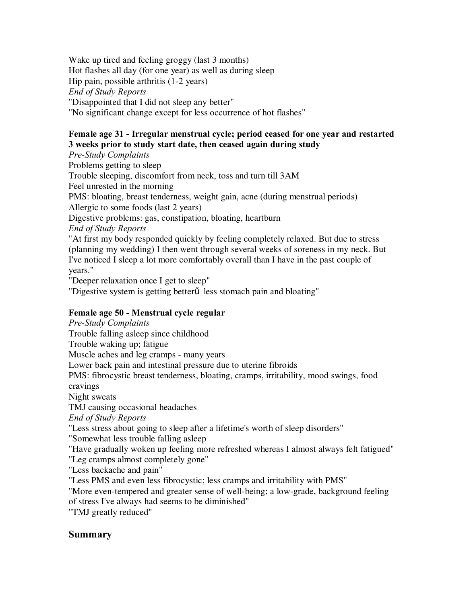Wake up tired and feeling groggy (last 3 months) Hot flashes all day (for one year) as well as during sleep Hip pain, possible arthritis (1-2 years) *End of Study Reports* "Disappointed that I did not sleep any better" "No significant change except for less occurrence of hot flashes"

### **Female age 31 - Irregular menstrual cycle; period ceased for one year and restarted 3 weeks prior to study start date, then ceased again during study**

*Pre-Study Complaints* Problems getting to sleep Trouble sleeping, discomfort from neck, toss and turn till 3AM Feel unrested in the morning PMS: bloating, breast tenderness, weight gain, acne (during menstrual periods) Allergic to some foods (last 2 years) Digestive problems: gas, constipation, bloating, heartburn *End of Study Reports* "At first my body responded quickly by feeling completely relaxed. But due to stress (planning my wedding) I then went through several weeks of soreness in my neck. But I've noticed I sleep a lot more comfortably overall than I have in the past couple of years."

"Deeper relaxation once I get to sleep"

"Digestive system is getting better $\check{u}$  less stomach pain and bloating"

#### **Female age 50 - Menstrual cycle regular**

*Pre-Study Complaints* Trouble falling asleep since childhood Trouble waking up; fatigue Muscle aches and leg cramps - many years Lower back pain and intestinal pressure due to uterine fibroids PMS: fibrocystic breast tenderness, bloating, cramps, irritability, mood swings, food cravings Night sweats TMJ causing occasional headaches *End of Study Reports*  "Less stress about going to sleep after a lifetime's worth of sleep disorders" "Somewhat less trouble falling asleep "Have gradually woken up feeling more refreshed whereas I almost always felt fatigued" "Leg cramps almost completely gone" "Less backache and pain"

"Less PMS and even less fibrocystic; less cramps and irritability with PMS"

"More even-tempered and greater sense of well-being; a low-grade, background feeling of stress I've always had seems to be diminished"

"TMJ greatly reduced"

### **Summary**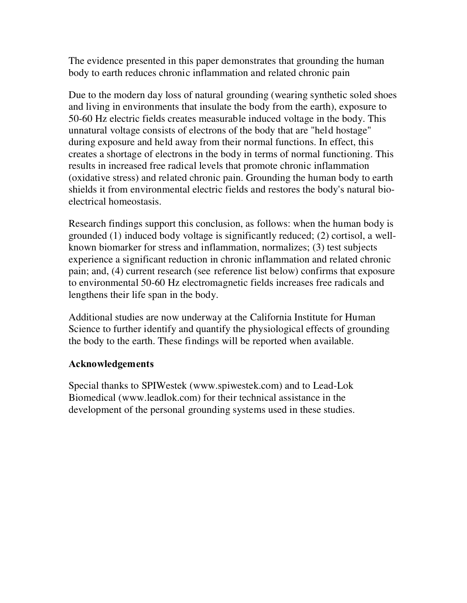The evidence presented in this paper demonstrates that grounding the human body to earth reduces chronic inflammation and related chronic pain

Due to the modern day loss of natural grounding (wearing synthetic soled shoes and living in environments that insulate the body from the earth), exposure to 50-60 Hz electric fields creates measurable induced voltage in the body. This unnatural voltage consists of electrons of the body that are "held hostage" during exposure and held away from their normal functions. In effect, this creates a shortage of electrons in the body in terms of normal functioning. This results in increased free radical levels that promote chronic inflammation (oxidative stress) and related chronic pain. Grounding the human body to earth shields it from environmental electric fields and restores the body's natural bioelectrical homeostasis.

Research findings support this conclusion, as follows: when the human body is grounded (1) induced body voltage is significantly reduced; (2) cortisol, a wellknown biomarker for stress and inflammation, normalizes; (3) test subjects experience a significant reduction in chronic inflammation and related chronic pain; and, (4) current research (see reference list below) confirms that exposure to environmental 50-60 Hz electromagnetic fields increases free radicals and lengthens their life span in the body.

Additional studies are now underway at the California Institute for Human Science to further identify and quantify the physiological effects of grounding the body to the earth. These findings will be reported when available.

# **Acknowledgements**

Special thanks to SPIWestek (www.spiwestek.com) and to Lead-Lok Biomedical (www.leadlok.com) for their technical assistance in the development of the personal grounding systems used in these studies.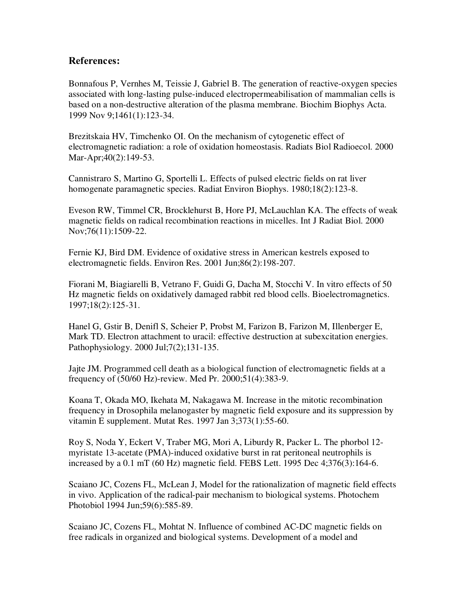### **References:**

Bonnafous P, Vernhes M, Teissie J, Gabriel B. The generation of reactive-oxygen species associated with long-lasting pulse-induced electropermeabilisation of mammalian cells is based on a non-destructive alteration of the plasma membrane. Biochim Biophys Acta. 1999 Nov 9;1461(1):123-34.

Brezitskaia HV, Timchenko OI. On the mechanism of cytogenetic effect of electromagnetic radiation: a role of oxidation homeostasis. Radiats Biol Radioecol. 2000 Mar-Apr;40(2):149-53.

Cannistraro S, Martino G, Sportelli L. Effects of pulsed electric fields on rat liver homogenate paramagnetic species. Radiat Environ Biophys. 1980;18(2):123-8.

Eveson RW, Timmel CR, Brocklehurst B, Hore PJ, McLauchlan KA. The effects of weak magnetic fields on radical recombination reactions in micelles. Int J Radiat Biol. 2000 Nov;76(11):1509-22.

Fernie KJ, Bird DM. Evidence of oxidative stress in American kestrels exposed to electromagnetic fields. Environ Res. 2001 Jun;86(2):198-207.

Fiorani M, Biagiarelli B, Vetrano F, Guidi G, Dacha M, Stocchi V. In vitro effects of 50 Hz magnetic fields on oxidatively damaged rabbit red blood cells. Bioelectromagnetics. 1997;18(2):125-31.

Hanel G, Gstir B, Denifl S, Scheier P, Probst M, Farizon B, Farizon M, Illenberger E, Mark TD. Electron attachment to uracil: effective destruction at subexcitation energies. Pathophysiology. 2000 Jul;7(2);131-135.

Jajte JM. Programmed cell death as a biological function of electromagnetic fields at a frequency of (50/60 Hz)-review. Med Pr. 2000;51(4):383-9.

Koana T, Okada MO, Ikehata M, Nakagawa M. Increase in the mitotic recombination frequency in Drosophila melanogaster by magnetic field exposure and its suppression by vitamin E supplement. Mutat Res. 1997 Jan 3;373(1):55-60.

Roy S, Noda Y, Eckert V, Traber MG, Mori A, Liburdy R, Packer L. The phorbol 12 myristate 13-acetate (PMA)-induced oxidative burst in rat peritoneal neutrophils is increased by a 0.1 mT (60 Hz) magnetic field. FEBS Lett. 1995 Dec 4;376(3):164-6.

Scaiano JC, Cozens FL, McLean J, Model for the rationalization of magnetic field effects in vivo. Application of the radical-pair mechanism to biological systems. Photochem Photobiol 1994 Jun;59(6):585-89.

Scaiano JC, Cozens FL, Mohtat N. Influence of combined AC-DC magnetic fields on free radicals in organized and biological systems. Development of a model and